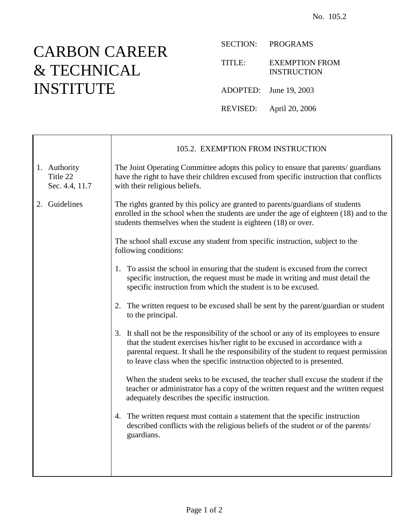## CARBON CAREER & TECHNICAL INSTITUTE

SECTION: PROGRAMS

TITLE: EXEMPTION FROM INSTRUCTION

ADOPTED: June 19, 2003

REVISED: April 20, 2006

|                                            | 105.2. EXEMPTION FROM INSTRUCTION                                                                                                                                                                                                                                                                                                       |
|--------------------------------------------|-----------------------------------------------------------------------------------------------------------------------------------------------------------------------------------------------------------------------------------------------------------------------------------------------------------------------------------------|
| 1. Authority<br>Title 22<br>Sec. 4.4, 11.7 | The Joint Operating Committee adopts this policy to ensure that parents/ guardians<br>have the right to have their children excused from specific instruction that conflicts<br>with their religious beliefs.                                                                                                                           |
| 2. Guidelines                              | The rights granted by this policy are granted to parents/guardians of students<br>enrolled in the school when the students are under the age of eighteen (18) and to the<br>students themselves when the student is eighteen (18) or over.                                                                                              |
|                                            | The school shall excuse any student from specific instruction, subject to the<br>following conditions:                                                                                                                                                                                                                                  |
|                                            | 1. To assist the school in ensuring that the student is excused from the correct<br>specific instruction, the request must be made in writing and must detail the<br>specific instruction from which the student is to be excused.                                                                                                      |
|                                            | The written request to be excused shall be sent by the parent/guardian or student<br>2.<br>to the principal.                                                                                                                                                                                                                            |
|                                            | 3. It shall not be the responsibility of the school or any of its employees to ensure<br>that the student exercises his/her right to be excused in accordance with a<br>parental request. It shall be the responsibility of the student to request permission<br>to leave class when the specific instruction objected to is presented. |
|                                            | When the student seeks to be excused, the teacher shall excuse the student if the<br>teacher or administrator has a copy of the written request and the written request<br>adequately describes the specific instruction.                                                                                                               |
|                                            | 4. The written request must contain a statement that the specific instruction<br>described conflicts with the religious beliefs of the student or of the parents/<br>guardians.                                                                                                                                                         |
|                                            |                                                                                                                                                                                                                                                                                                                                         |